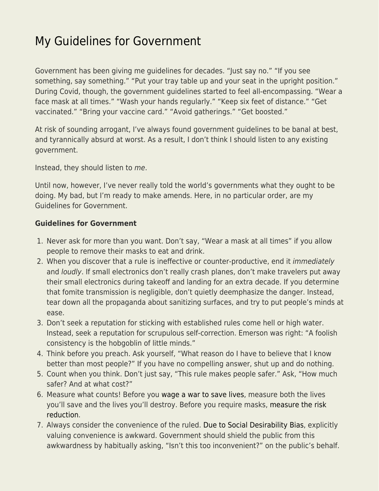## [My Guidelines for Government](https://everything-voluntary.com/my-guidelines-for-government)

Government has been giving me guidelines for decades. "Just say no." "If you see something, say something." "Put your tray table up and your seat in the upright position." During Covid, though, the government guidelines started to feel all-encompassing. "Wear a face mask at all times." "Wash your hands regularly." "Keep six feet of distance." "Get vaccinated." "Bring your vaccine card." "Avoid gatherings." "Get boosted."

At risk of sounding arrogant, I've always found government guidelines to be banal at best, and tyrannically absurd at worst. As a result, I don't think I should listen to any existing government.

Instead, they should listen to me.

Until now, however, I've never really told the world's governments what they ought to be doing. My bad, but I'm ready to make amends. Here, in no particular order, are my Guidelines for Government.

## **Guidelines for Government**

- 1. Never ask for more than you want. Don't say, "Wear a mask at all times" if you allow people to remove their masks to eat and drink.
- 2. When you discover that a rule is ineffective or counter-productive, end it immediately and loudly. If small electronics don't really crash planes, don't make travelers put away their small electronics during takeoff and landing for an extra decade. If you determine that fomite transmission is negligible, don't quietly deemphasize the danger. Instead, tear down all the propaganda about sanitizing surfaces, and try to put people's minds at ease.
- 3. Don't seek a reputation for sticking with established rules come hell or high water. Instead, seek a reputation for scrupulous self-correction. Emerson was right: "A foolish consistency is the hobgoblin of little minds."
- 4. Think before you preach. Ask yourself, "What reason do I have to believe that I know better than most people?" If you have no compelling answer, shut up and do nothing.
- 5. Count when you think. Don't just say, "This rule makes people safer." Ask, "How much safer? And at what cost?"
- 6. Measure what counts! Before you [wage a war to save lives](https://www.econlib.org/archives/2015/10/superforecastin_1.html), measure both the lives you'll save and the lives you'll destroy. Before you require masks, [measure the risk](https://www.econlib.org/?p=52841) [reduction.](https://www.econlib.org/?p=52841)
- 7. Always consider the convenience of the ruled. [Due to Social Desirability Bias,](https://www.econlib.org/?p=53264) explicitly valuing convenience is awkward. Government should shield the public from this awkwardness by habitually asking, "Isn't this too inconvenient?" on the public's behalf.